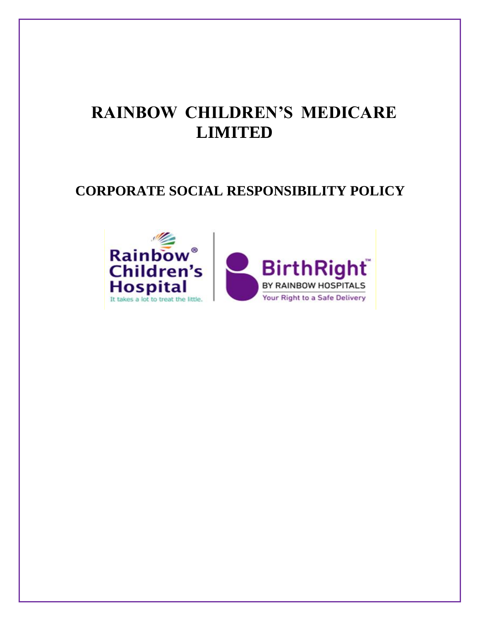# **RAINBOW CHILDREN'S MEDICARE LIMITED**

# **CORPORATE SOCIAL RESPONSIBILITY POLICY**

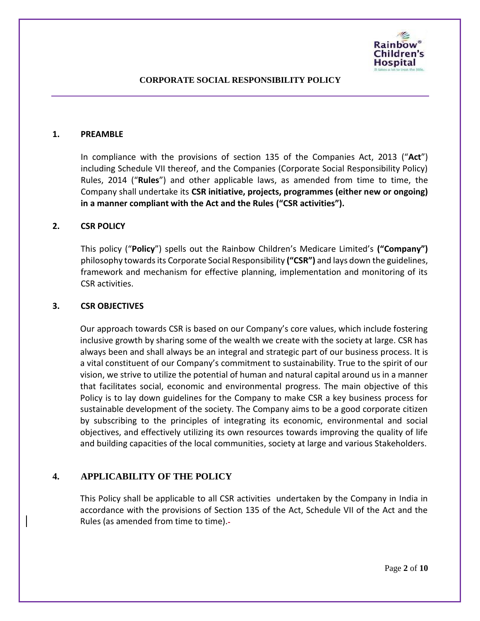

#### **1. PREAMBLE**

In compliance with the provisions of section 135 of the Companies Act, 2013 ("**Act**") including Schedule VII thereof, and the Companies (Corporate Social Responsibility Policy) Rules, 2014 ("**Rules**") and other applicable laws, as amended from time to time, the Company shall undertake its **CSR initiative, projects, programmes (either new or ongoing) in a manner compliant with the Act and the Rules ("CSR activities").**

#### **2. CSR POLICY**

This policy ("**Policy**") spells out the Rainbow Children's Medicare Limited's **("Company")** philosophy towards its Corporate Social Responsibility **("CSR")** and lays down the guidelines, framework and mechanism for effective planning, implementation and monitoring of its CSR activities.

#### **3. CSR OBJECTIVES**

Our approach towards CSR is based on our Company's core values, which include fostering inclusive growth by sharing some of the wealth we create with the society at large. CSR has always been and shall always be an integral and strategic part of our business process. It is a vital constituent of our Company's commitment to sustainability. True to the spirit of our vision, we strive to utilize the potential of human and natural capital around us in a manner that facilitates social, economic and environmental progress. The main objective of this Policy is to lay down guidelines for the Company to make CSR a key business process for sustainable development of the society. The Company aims to be a good corporate citizen by subscribing to the principles of integrating its economic, environmental and social objectives, and effectively utilizing its own resources towards improving the quality of life and building capacities of the local communities, society at large and various Stakeholders.

# **4. APPLICABILITY OF THE POLICY**

This Policy shall be applicable to all CSR activities undertaken by the Company in India in accordance with the provisions of Section 135 of the Act, Schedule VII of the Act and the Rules (as amended from time to time).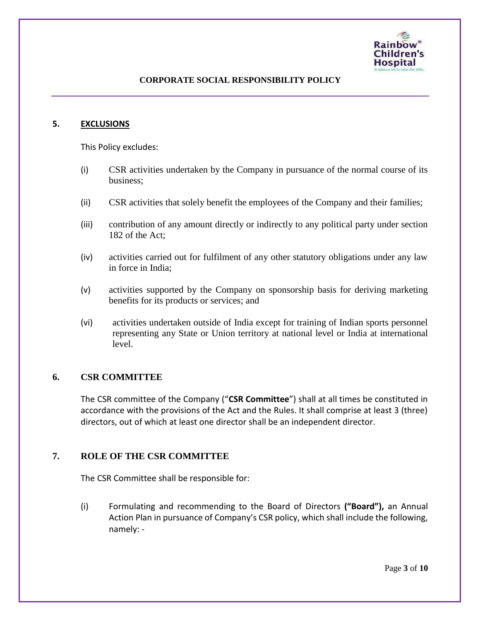

#### **5. EXCLUSIONS**

This Policy excludes:

- (i) CSR activities undertaken by the Company in pursuance of the normal course of its business;
- (ii) CSR activities that solely benefit the employees of the Company and their families;
- (iii) contribution of any amount directly or indirectly to any political party under section 182 of the Act;
- (iv) activities carried out for fulfilment of any other statutory obligations under any law in force in India;
- (v) activities supported by the Company on sponsorship basis for deriving marketing benefits for its products or services; and
- (vi) activities undertaken outside of India except for training of Indian sports personnel representing any State or Union territory at national level or India at international level.

# **6. CSR COMMITTEE**

The CSR committee of the Company ("**CSR Committee**") shall at all times be constituted in accordance with the provisions of the Act and the Rules. It shall comprise at least 3 (three) directors, out of which at least one director shall be an independent director.

# **7. ROLE OF THE CSR COMMITTEE**

The CSR Committee shall be responsible for:

(i) Formulating and recommending to the Board of Directors **("Board"),** an Annual Action Plan in pursuance of Company's CSR policy, which shall include the following, namely: -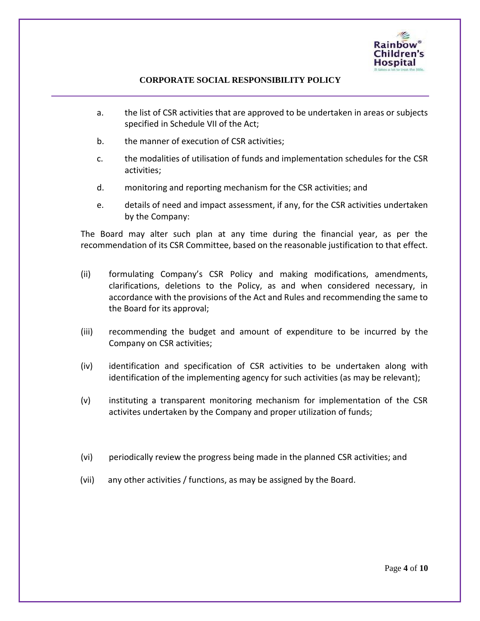

- a. the list of CSR activities that are approved to be undertaken in areas or subjects specified in Schedule VII of the Act;
- b. the manner of execution of CSR activities;
- c. the modalities of utilisation of funds and implementation schedules for the CSR activities;
- d. monitoring and reporting mechanism for the CSR activities; and
- e. details of need and impact assessment, if any, for the CSR activities undertaken by the Company:

The Board may alter such plan at any time during the financial year, as per the recommendation of its CSR Committee, based on the reasonable justification to that effect.

- (ii) formulating Company's CSR Policy and making modifications, amendments, clarifications, deletions to the Policy, as and when considered necessary, in accordance with the provisions of the Act and Rules and recommending the same to the Board for its approval;
- (iii) recommending the budget and amount of expenditure to be incurred by the Company on CSR activities;
- (iv) identification and specification of CSR activities to be undertaken along with identification of the implementing agency for such activities (as may be relevant);
- (v) instituting a transparent monitoring mechanism for implementation of the CSR activites undertaken by the Company and proper utilization of funds;
- (vi) periodically review the progress being made in the planned CSR activities; and
- (vii) any other activities / functions, as may be assigned by the Board.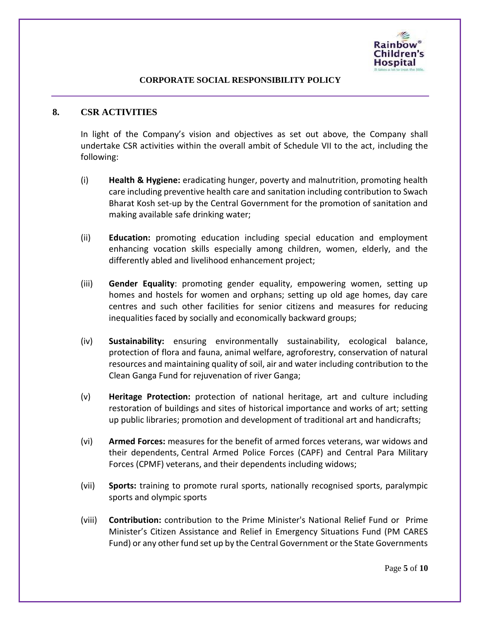

# **8. CSR ACTIVITIES**

In light of the Company's vision and objectives as set out above, the Company shall undertake CSR activities within the overall ambit of Schedule VII to the act, including the following:

- (i) **Health & Hygiene:** eradicating hunger, poverty and malnutrition, promoting health care including preventive health care and sanitation including contribution to Swach Bharat Kosh set-up by the Central Government for the promotion of sanitation and making available safe drinking water;
- (ii) **Education:** promoting education including special education and employment enhancing vocation skills especially among children, women, elderly, and the differently abled and livelihood enhancement project;
- (iii) **Gender Equality**: promoting gender equality, empowering women, setting up homes and hostels for women and orphans; setting up old age homes, day care centres and such other facilities for senior citizens and measures for reducing inequalities faced by socially and economically backward groups;
- (iv) **Sustainability:** ensuring environmentally sustainability, ecological balance, protection of flora and fauna, animal welfare, agroforestry, conservation of natural resources and maintaining quality of soil, air and water including contribution to the Clean Ganga Fund for rejuvenation of river Ganga;
- (v) **Heritage Protection:** protection of national heritage, art and culture including restoration of buildings and sites of historical importance and works of art; setting up public libraries; promotion and development of traditional art and handicrafts;
- (vi) **Armed Forces:** measures for the benefit of armed forces veterans, war widows and their dependents, Central Armed Police Forces (CAPF) and Central Para Military Forces (CPMF) veterans, and their dependents including widows;
- (vii) **Sports:** training to promote rural sports, nationally recognised sports, paralympic sports and olympic sports
- (viii) **Contribution:** contribution to the Prime Minister's National Relief Fund or Prime Minister's Citizen Assistance and Relief in Emergency Situations Fund (PM CARES Fund) or any other fund set up by the Central Government or the State Governments

Page **5** of **10**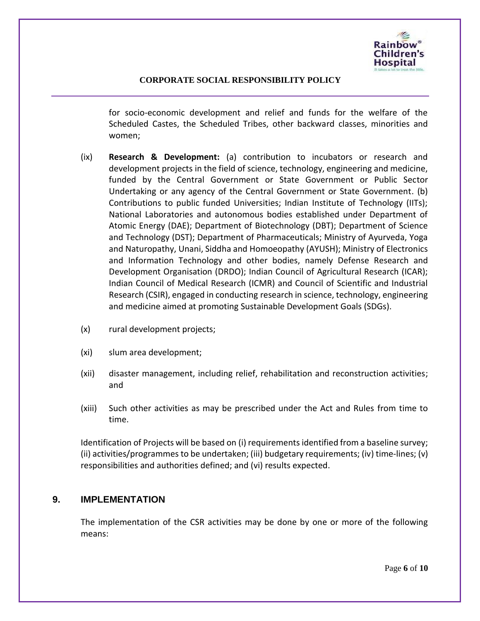

for socio-economic development and relief and funds for the welfare of the Scheduled Castes, the Scheduled Tribes, other backward classes, minorities and women;

- (ix) **Research & Development:** (a) contribution to incubators or research and development projects in the field of science, technology, engineering and medicine, funded by the Central Government or State Government or Public Sector Undertaking or any agency of the Central Government or State Government. (b) Contributions to public funded Universities; Indian Institute of Technology (IITs); National Laboratories and autonomous bodies established under Department of Atomic Energy (DAE); Department of Biotechnology (DBT); Department of Science and Technology (DST); Department of Pharmaceuticals; Ministry of Ayurveda, Yoga and Naturopathy, Unani, Siddha and Homoeopathy (AYUSH); Ministry of Electronics and Information Technology and other bodies, namely Defense Research and Development Organisation (DRDO); Indian Council of Agricultural Research (ICAR); Indian Council of Medical Research (ICMR) and Council of Scientific and Industrial Research (CSIR), engaged in conducting research in science, technology, engineering and medicine aimed at promoting Sustainable Development Goals (SDGs).
- (x) rural development projects;
- (xi) slum area development;
- (xii) disaster management, including relief, rehabilitation and reconstruction activities; and
- (xiii) Such other activities as may be prescribed under the Act and Rules from time to time.

Identification of Projects will be based on (i) requirements identified from a baseline survey; (ii) activities/programmes to be undertaken; (iii) budgetary requirements; (iv) time-lines; (v) responsibilities and authorities defined; and (vi) results expected.

# **9. IMPLEMENTATION**

The implementation of the CSR activities may be done by one or more of the following means: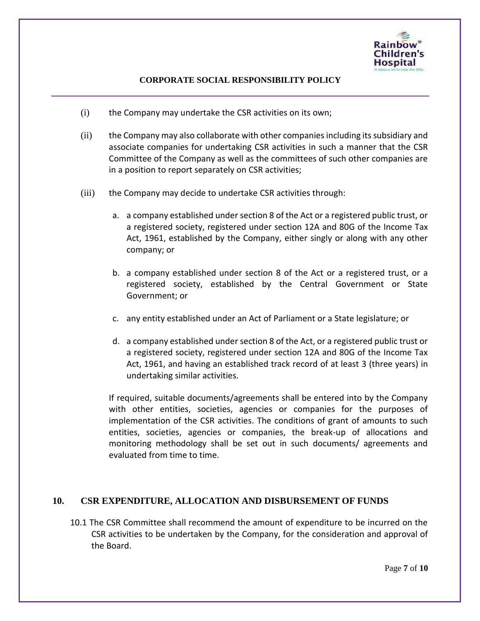

- (i) the Company may undertake the CSR activities on its own;
- (ii) the Company may also collaborate with other companies including its subsidiary and associate companies for undertaking CSR activities in such a manner that the CSR Committee of the Company as well as the committees of such other companies are in a position to report separately on CSR activities;
- (iii) the Company may decide to undertake CSR activities through:
	- a. a company established under section 8 of the Act or a registered public trust, or a registered society, registered under section 12A and 80G of the Income Tax Act, 1961, established by the Company, either singly or along with any other company; or
	- b. a company established under section 8 of the Act or a registered trust, or a registered society, established by the Central Government or State Government; or
	- c. any entity established under an Act of Parliament or a State legislature; or
	- d. a company established under section 8 of the Act, or a registered public trust or a registered society, registered under section 12A and 80G of the Income Tax Act, 1961, and having an established track record of at least 3 (three years) in undertaking similar activities.

If required, suitable documents/agreements shall be entered into by the Company with other entities, societies, agencies or companies for the purposes of implementation of the CSR activities. The conditions of grant of amounts to such entities, societies, agencies or companies, the break-up of allocations and monitoring methodology shall be set out in such documents/ agreements and evaluated from time to time.

# **10. CSR EXPENDITURE, ALLOCATION AND DISBURSEMENT OF FUNDS**

10.1 The CSR Committee shall recommend the amount of expenditure to be incurred on the CSR activities to be undertaken by the Company, for the consideration and approval of the Board.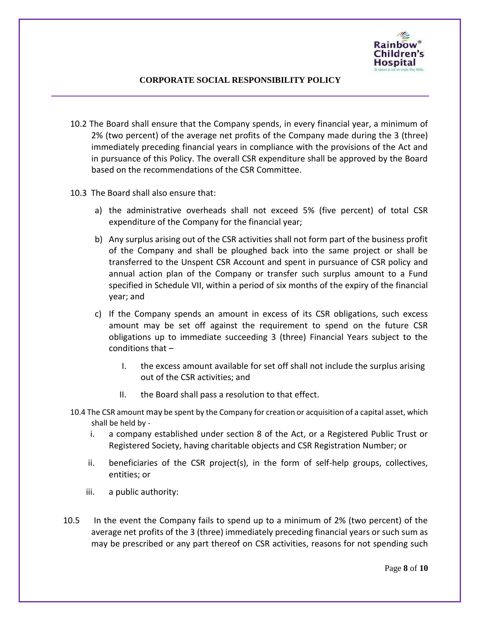

- 10.2 The Board shall ensure that the Company spends, in every financial year, a minimum of 2% (two percent) of the average net profits of the Company made during the 3 (three) immediately preceding financial years in compliance with the provisions of the Act and in pursuance of this Policy. The overall CSR expenditure shall be approved by the Board based on the recommendations of the CSR Committee.
- 10.3 The Board shall also ensure that:
	- a) the administrative overheads shall not exceed 5% (five percent) of total CSR expenditure of the Company for the financial year;
	- b) Any surplus arising out of the CSR activities shall not form part of the business profit of the Company and shall be ploughed back into the same project or shall be transferred to the Unspent CSR Account and spent in pursuance of CSR policy and annual action plan of the Company or transfer such surplus amount to a Fund specified in Schedule VII, within a period of six months of the expiry of the financial year; and
	- c) If the Company spends an amount in excess of its CSR obligations, such excess amount may be set off against the requirement to spend on the future CSR obligations up to immediate succeeding 3 (three) Financial Years subject to the conditions that –
		- I. the excess amount available for set off shall not include the surplus arising out of the CSR activities; and
		- II. the Board shall pass a resolution to that effect.
- 10.4 The CSR amount may be spent by the Company for creation or acquisition of a capital asset, which shall be held by
	- i. a company established under section 8 of the Act, or a Registered Public Trust or Registered Society, having charitable objects and CSR Registration Number; or
	- ii. beneficiaries of the CSR project(s), in the form of self-help groups, collectives, entities; or
	- iii. a public authority:
- 10.5 In the event the Company fails to spend up to a minimum of 2% (two percent) of the average net profits of the 3 (three) immediately preceding financial years or such sum as may be prescribed or any part thereof on CSR activities, reasons for not spending such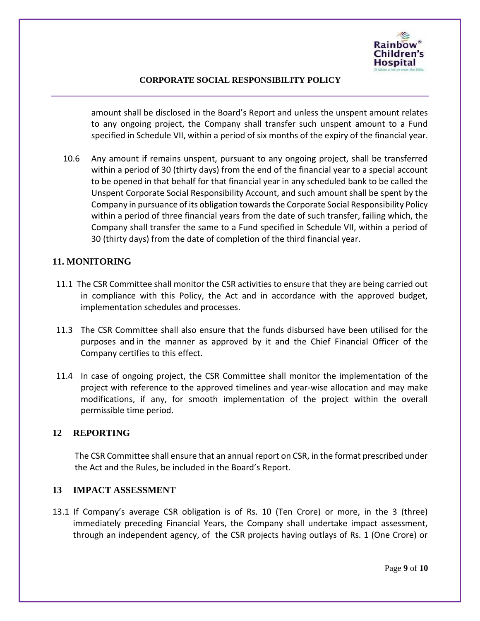

amount shall be disclosed in the Board's Report and unless the unspent amount relates to any ongoing project, the Company shall transfer such unspent amount to a Fund specified in Schedule VII, within a period of six months of the expiry of the financial year.

10.6 Any amount if remains unspent, pursuant to any ongoing project, shall be transferred within a period of 30 (thirty days) from the end of the financial year to a special account to be opened in that behalf for that financial year in any scheduled bank to be called the Unspent Corporate Social Responsibility Account, and such amount shall be spent by the Company in pursuance of its obligation towards the Corporate Social Responsibility Policy within a period of three financial years from the date of such transfer, failing which, the Company shall transfer the same to a Fund specified in Schedule VII, within a period of 30 (thirty days) from the date of completion of the third financial year.

# **11. MONITORING**

- 11.1 The CSR Committee shall monitor the CSR activities to ensure that they are being carried out in compliance with this Policy, the Act and in accordance with the approved budget, implementation schedules and processes.
- 11.3 The CSR Committee shall also ensure that the funds disbursed have been utilised for the purposes and in the manner as approved by it and the Chief Financial Officer of the Company certifies to this effect.
- 11.4 In case of ongoing project, the CSR Committee shall monitor the implementation of the project with reference to the approved timelines and year-wise allocation and may make modifications, if any, for smooth implementation of the project within the overall permissible time period.

#### **12 REPORTING**

The CSR Committee shall ensure that an annual report on CSR, in the format prescribed under the Act and the Rules, be included in the Board's Report.

#### **13 IMPACT ASSESSMENT**

13.1 If Company's average CSR obligation is of Rs. 10 (Ten Crore) or more, in the 3 (three) immediately preceding Financial Years, the Company shall undertake impact assessment, through an independent agency, of the CSR projects having outlays of Rs. 1 (One Crore) or